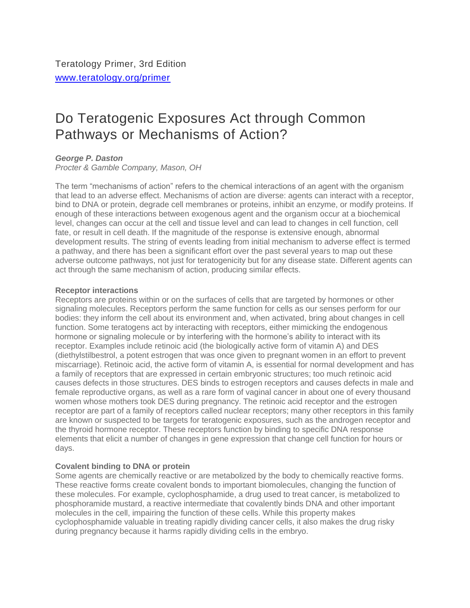# Do Teratogenic Exposures Act through Common Pathways or Mechanisms of Action?

# *George P. Daston*

*Procter & Gamble Company, Mason, OH*

The term "mechanisms of action" refers to the chemical interactions of an agent with the organism that lead to an adverse effect. Mechanisms of action are diverse: agents can interact with a receptor, bind to DNA or protein, degrade cell membranes or proteins, inhibit an enzyme, or modify proteins. If enough of these interactions between exogenous agent and the organism occur at a biochemical level, changes can occur at the cell and tissue level and can lead to changes in cell function, cell fate, or result in cell death. If the magnitude of the response is extensive enough, abnormal development results. The string of events leading from initial mechanism to adverse effect is termed a pathway, and there has been a significant effort over the past several years to map out these adverse outcome pathways, not just for teratogenicity but for any disease state. Different agents can act through the same mechanism of action, producing similar effects.

# **Receptor interactions**

Receptors are proteins within or on the surfaces of cells that are targeted by hormones or other signaling molecules. Receptors perform the same function for cells as our senses perform for our bodies: they inform the cell about its environment and, when activated, bring about changes in cell function. Some teratogens act by interacting with receptors, either mimicking the endogenous hormone or signaling molecule or by interfering with the hormone's ability to interact with its receptor. Examples include retinoic acid (the biologically active form of vitamin A) and DES (diethylstilbestrol, a potent estrogen that was once given to pregnant women in an effort to prevent miscarriage). Retinoic acid, the active form of vitamin A, is essential for normal development and has a family of receptors that are expressed in certain embryonic structures; too much retinoic acid causes defects in those structures. DES binds to estrogen receptors and causes defects in male and female reproductive organs, as well as a rare form of vaginal cancer in about one of every thousand women whose mothers took DES during pregnancy. The retinoic acid receptor and the estrogen receptor are part of a family of receptors called nuclear receptors; many other receptors in this family are known or suspected to be targets for teratogenic exposures, such as the androgen receptor and the thyroid hormone receptor. These receptors function by binding to specific DNA response elements that elicit a number of changes in gene expression that change cell function for hours or days.

# **Covalent binding to DNA or protein**

Some agents are chemically reactive or are metabolized by the body to chemically reactive forms. These reactive forms create covalent bonds to important biomolecules, changing the function of these molecules. For example, cyclophosphamide, a drug used to treat cancer, is metabolized to phosphoramide mustard, a reactive intermediate that covalently binds DNA and other important molecules in the cell, impairing the function of these cells. While this property makes cyclophosphamide valuable in treating rapidly dividing cancer cells, it also makes the drug risky during pregnancy because it harms rapidly dividing cells in the embryo.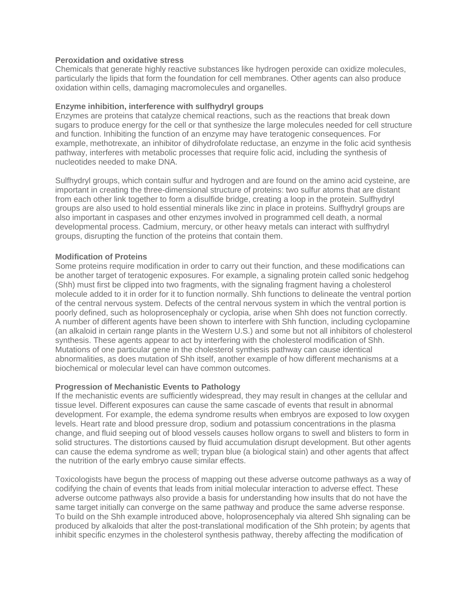#### **Peroxidation and oxidative stress**

Chemicals that generate highly reactive substances like hydrogen peroxide can oxidize molecules, particularly the lipids that form the foundation for cell membranes. Other agents can also produce oxidation within cells, damaging macromolecules and organelles.

#### **Enzyme inhibition, interference with sulfhydryl groups**

Enzymes are proteins that catalyze chemical reactions, such as the reactions that break down sugars to produce energy for the cell or that synthesize the large molecules needed for cell structure and function. Inhibiting the function of an enzyme may have teratogenic consequences. For example, methotrexate, an inhibitor of dihydrofolate reductase, an enzyme in the folic acid synthesis pathway, interferes with metabolic processes that require folic acid, including the synthesis of nucleotides needed to make DNA.

Sulfhydryl groups, which contain sulfur and hydrogen and are found on the amino acid cysteine, are important in creating the three-dimensional structure of proteins: two sulfur atoms that are distant from each other link together to form a disulfide bridge, creating a loop in the protein. Sulfhydryl groups are also used to hold essential minerals like zinc in place in proteins. Sulfhydryl groups are also important in caspases and other enzymes involved in programmed cell death, a normal developmental process. Cadmium, mercury, or other heavy metals can interact with sulfhydryl groups, disrupting the function of the proteins that contain them.

#### **Modification of Proteins**

Some proteins require modification in order to carry out their function, and these modifications can be another target of teratogenic exposures. For example, a signaling protein called sonic hedgehog (Shh) must first be clipped into two fragments, with the signaling fragment having a cholesterol molecule added to it in order for it to function normally. Shh functions to delineate the ventral portion of the central nervous system. Defects of the central nervous system in which the ventral portion is poorly defined, such as holoprosencephaly or cyclopia, arise when Shh does not function correctly. A number of different agents have been shown to interfere with Shh function, including cyclopamine (an alkaloid in certain range plants in the Western U.S.) and some but not all inhibitors of cholesterol synthesis. These agents appear to act by interfering with the cholesterol modification of Shh. Mutations of one particular gene in the cholesterol synthesis pathway can cause identical abnormalities, as does mutation of Shh itself, another example of how different mechanisms at a biochemical or molecular level can have common outcomes.

# **Progression of Mechanistic Events to Pathology**

If the mechanistic events are sufficiently widespread, they may result in changes at the cellular and tissue level. Different exposures can cause the same cascade of events that result in abnormal development. For example, the edema syndrome results when embryos are exposed to low oxygen levels. Heart rate and blood pressure drop, sodium and potassium concentrations in the plasma change, and fluid seeping out of blood vessels causes hollow organs to swell and blisters to form in solid structures. The distortions caused by fluid accumulation disrupt development. But other agents can cause the edema syndrome as well; trypan blue (a biological stain) and other agents that affect the nutrition of the early embryo cause similar effects.

Toxicologists have begun the process of mapping out these adverse outcome pathways as a way of codifying the chain of events that leads from initial molecular interaction to adverse effect. These adverse outcome pathways also provide a basis for understanding how insults that do not have the same target initially can converge on the same pathway and produce the same adverse response. To build on the Shh example introduced above, holoprosencephaly via altered Shh signaling can be produced by alkaloids that alter the post-translational modification of the Shh protein; by agents that inhibit specific enzymes in the cholesterol synthesis pathway, thereby affecting the modification of